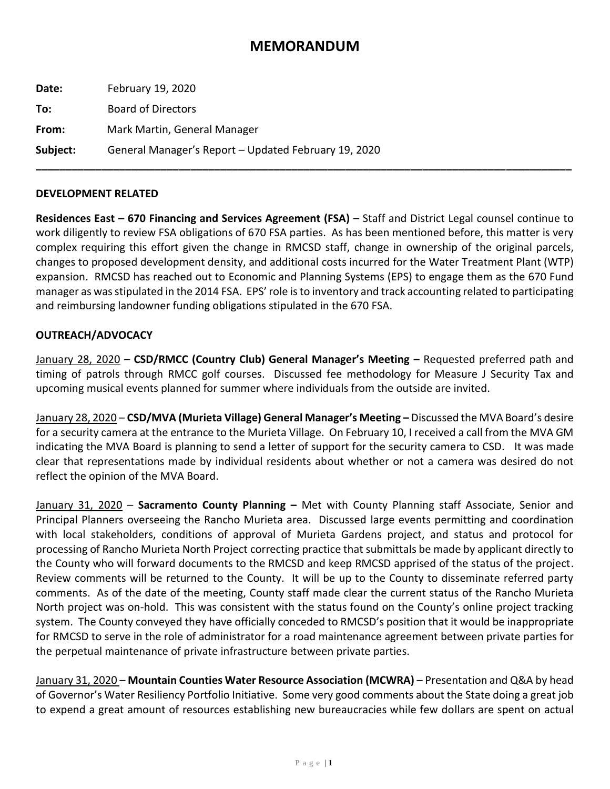## **MEMORANDUM**

| Date:    | February 19, 2020                                    |
|----------|------------------------------------------------------|
| To:      | <b>Board of Directors</b>                            |
| From:    | Mark Martin, General Manager                         |
| Subject: | General Manager's Report - Updated February 19, 2020 |
|          |                                                      |

## **DEVELOPMENT RELATED**

**Residences East – 670 Financing and Services Agreement (FSA)** – Staff and District Legal counsel continue to work diligently to review FSA obligations of 670 FSA parties. As has been mentioned before, this matter is very complex requiring this effort given the change in RMCSD staff, change in ownership of the original parcels, changes to proposed development density, and additional costs incurred for the Water Treatment Plant (WTP) expansion. RMCSD has reached out to Economic and Planning Systems (EPS) to engage them as the 670 Fund manager as was stipulated in the 2014 FSA. EPS' role is to inventory and track accounting related to participating and reimbursing landowner funding obligations stipulated in the 670 FSA.

## **OUTREACH/ADVOCACY**

January 28, 2020 – **CSD/RMCC (Country Club) General Manager's Meeting –** Requested preferred path and timing of patrols through RMCC golf courses. Discussed fee methodology for Measure J Security Tax and upcoming musical events planned for summer where individuals from the outside are invited.

January 28, 2020 – **CSD/MVA (Murieta Village) General Manager's Meeting –** Discussed the MVA Board's desire for a security camera at the entrance to the Murieta Village. On February 10, I received a call from the MVA GM indicating the MVA Board is planning to send a letter of support for the security camera to CSD. It was made clear that representations made by individual residents about whether or not a camera was desired do not reflect the opinion of the MVA Board.

January 31, 2020 – **Sacramento County Planning –** Met with County Planning staff Associate, Senior and Principal Planners overseeing the Rancho Murieta area. Discussed large events permitting and coordination with local stakeholders, conditions of approval of Murieta Gardens project, and status and protocol for processing of Rancho Murieta North Project correcting practice that submittals be made by applicant directly to the County who will forward documents to the RMCSD and keep RMCSD apprised of the status of the project. Review comments will be returned to the County. It will be up to the County to disseminate referred party comments. As of the date of the meeting, County staff made clear the current status of the Rancho Murieta North project was on-hold. This was consistent with the status found on the County's online project tracking system. The County conveyed they have officially conceded to RMCSD's position that it would be inappropriate for RMCSD to serve in the role of administrator for a road maintenance agreement between private parties for the perpetual maintenance of private infrastructure between private parties.

January 31, 2020 – **Mountain Counties Water Resource Association (MCWRA)** – Presentation and Q&A by head of Governor's Water Resiliency Portfolio Initiative. Some very good comments about the State doing a great job to expend a great amount of resources establishing new bureaucracies while few dollars are spent on actual